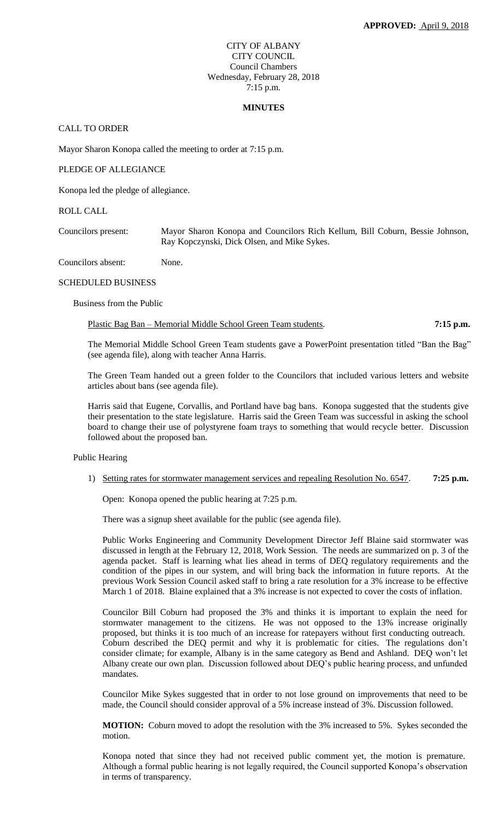# CITY OF ALBANY CITY COUNCIL Council Chambers Wednesday, February 28, 2018 7:15 p.m.

#### **MINUTES**

# CALL TO ORDER

Mayor Sharon Konopa called the meeting to order at 7:15 p.m.

### PLEDGE OF ALLEGIANCE

Konopa led the pledge of allegiance.

### ROLL CALL

Councilors present: Mayor Sharon Konopa and Councilors Rich Kellum, Bill Coburn, Bessie Johnson, Ray Kopczynski, Dick Olsen, and Mike Sykes.

Councilors absent: None.

#### SCHEDULED BUSINESS

Business from the Public

Plastic Bag Ban – Memorial Middle School Green Team students*.* **7:15 p.m.**

The Memorial Middle School Green Team students gave a PowerPoint presentation titled "Ban the Bag" (see agenda file), along with teacher Anna Harris.

The Green Team handed out a green folder to the Councilors that included various letters and website articles about bans (see agenda file).

Harris said that Eugene, Corvallis, and Portland have bag bans. Konopa suggested that the students give their presentation to the state legislature. Harris said the Green Team was successful in asking the school board to change their use of polystyrene foam trays to something that would recycle better. Discussion followed about the proposed ban.

# Public Hearing

# 1) Setting rates for stormwater management services and repealing Resolution No. 6547. **7:25 p.m.**

Open: Konopa opened the public hearing at 7:25 p.m.

There was a signup sheet available for the public (see agenda file).

Public Works Engineering and Community Development Director Jeff Blaine said stormwater was discussed in length at the February 12, 2018, Work Session. The needs are summarized on p. 3 of the agenda packet. Staff is learning what lies ahead in terms of DEQ regulatory requirements and the condition of the pipes in our system, and will bring back the information in future reports. At the previous Work Session Council asked staff to bring a rate resolution for a 3% increase to be effective March 1 of 2018. Blaine explained that a 3% increase is not expected to cover the costs of inflation.

Councilor Bill Coburn had proposed the 3% and thinks it is important to explain the need for stormwater management to the citizens. He was not opposed to the 13% increase originally proposed, but thinks it is too much of an increase for ratepayers without first conducting outreach. Coburn described the DEQ permit and why it is problematic for cities. The regulations don't consider climate; for example, Albany is in the same category as Bend and Ashland. DEQ won't let Albany create our own plan. Discussion followed about DEQ's public hearing process, and unfunded mandates.

Councilor Mike Sykes suggested that in order to not lose ground on improvements that need to be made, the Council should consider approval of a 5% increase instead of 3%. Discussion followed.

**MOTION:** Coburn moved to adopt the resolution with the 3% increased to 5%. Sykes seconded the motion.

Konopa noted that since they had not received public comment yet, the motion is premature. Although a formal public hearing is not legally required, the Council supported Konopa's observation in terms of transparency.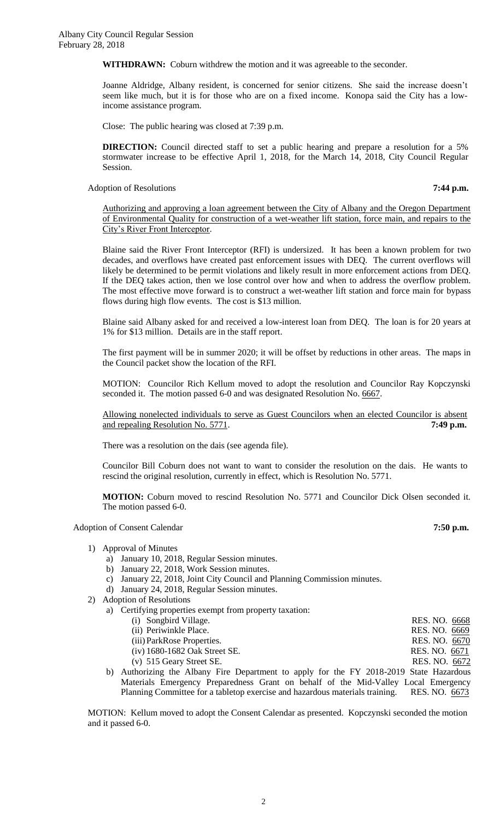**WITHDRAWN:** Coburn withdrew the motion and it was agreeable to the seconder.

Joanne Aldridge, Albany resident, is concerned for senior citizens. She said the increase doesn't seem like much, but it is for those who are on a fixed income. Konopa said the City has a lowincome assistance program.

Close: The public hearing was closed at 7:39 p.m.

**DIRECTION:** Council directed staff to set a public hearing and prepare a resolution for a 5% stormwater increase to be effective April 1, 2018, for the March 14, 2018, City Council Regular Session.

Adoption of Resolutions **7:44 p.m.**

Authorizing and approving a loan agreement between the City of Albany and the Oregon Department of Environmental Quality for construction of a wet-weather lift station, force main, and repairs to the City's River Front Interceptor.

Blaine said the River Front Interceptor (RFI) is undersized. It has been a known problem for two decades, and overflows have created past enforcement issues with DEQ. The current overflows will likely be determined to be permit violations and likely result in more enforcement actions from DEQ. If the DEQ takes action, then we lose control over how and when to address the overflow problem. The most effective move forward is to construct a wet-weather lift station and force main for bypass flows during high flow events. The cost is \$13 million.

Blaine said Albany asked for and received a low-interest loan from DEQ. The loan is for 20 years at 1% for \$13 million. Details are in the staff report.

The first payment will be in summer 2020; it will be offset by reductions in other areas. The maps in the Council packet show the location of the RFI.

MOTION: Councilor Rich Kellum moved to adopt the resolution and Councilor Ray Kopczynski seconded it. The motion passed 6-0 and was designated Resolution No. 6667.

Allowing nonelected individuals to serve as Guest Councilors when an elected Councilor is absent and repealing Resolution No. 5771. **7:49 p.m.**

There was a resolution on the dais (see agenda file).

Councilor Bill Coburn does not want to want to consider the resolution on the dais. He wants to rescind the original resolution, currently in effect, which is Resolution No. 5771.

**MOTION:** Coburn moved to rescind Resolution No. 5771 and Councilor Dick Olsen seconded it. The motion passed 6-0.

Adoption of Consent Calendar **7:50 p.m.**

- 1) Approval of Minutes
	- a) January 10, 2018, Regular Session minutes.
	- b) January 22, 2018, Work Session minutes.
	- c) January 22, 2018, Joint City Council and Planning Commission minutes.
	- d) January 24, 2018, Regular Session minutes.
- 2) Adoption of Resolutions
	- a) Certifying properties exempt from property taxation:

| $\alpha$ , $\alpha$ , $\alpha$ , $\beta$ , $\beta$ , $\beta$ , $\alpha$ , $\alpha$ , $\beta$ , $\alpha$ , $\alpha$ , $\alpha$ , $\alpha$ , $\alpha$ , $\alpha$ , $\alpha$ , $\alpha$ |               |
|--------------------------------------------------------------------------------------------------------------------------------------------------------------------------------------|---------------|
| (i) Songbird Village.                                                                                                                                                                | RES. NO. 6668 |
| (ii) Periwinkle Place.                                                                                                                                                               | RES. NO. 6669 |
| (iii) ParkRose Properties.                                                                                                                                                           | RES. NO. 6670 |
| $(iv)$ 1680-1682 Oak Street SE.                                                                                                                                                      | RES. NO. 6671 |
| $(v)$ 515 Geary Street SE.                                                                                                                                                           | RES. NO. 6672 |
|                                                                                                                                                                                      |               |

b) Authorizing the Albany Fire Department to apply for the FY 2018-2019 State Hazardous Materials Emergency Preparedness Grant on behalf of the Mid-Valley Local Emergency Planning Committee for a tabletop exercise and hazardous materials training. RES. NO. 6673

MOTION: Kellum moved to adopt the Consent Calendar as presented. Kopczynski seconded the motion and it passed 6-0.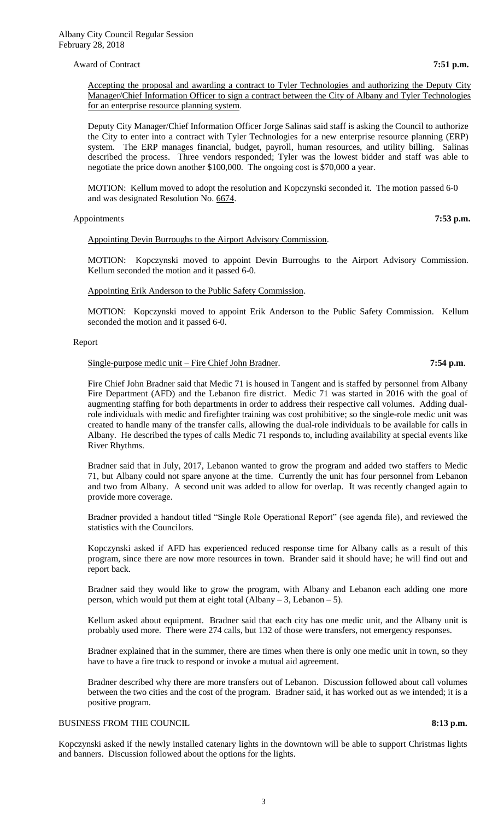### Award of Contract **7:51 p.m. 7:51 p.m.**

Accepting the proposal and awarding a contract to Tyler Technologies and authorizing the Deputy City Manager/Chief Information Officer to sign a contract between the City of Albany and Tyler Technologies for an enterprise resource planning system.

Deputy City Manager/Chief Information Officer Jorge Salinas said staff is asking the Council to authorize the City to enter into a contract with Tyler Technologies for a new enterprise resource planning (ERP) system. The ERP manages financial, budget, payroll, human resources, and utility billing. Salinas described the process. Three vendors responded; Tyler was the lowest bidder and staff was able to negotiate the price down another \$100,000. The ongoing cost is \$70,000 a year.

MOTION: Kellum moved to adopt the resolution and Kopczynski seconded it. The motion passed 6-0 and was designated Resolution No. 6674.

### Appointments **7:53 p.m. 7:53 p.m.**

Appointing Devin Burroughs to the Airport Advisory Commission.

MOTION: Kopczynski moved to appoint Devin Burroughs to the Airport Advisory Commission. Kellum seconded the motion and it passed 6-0.

### Appointing Erik Anderson to the Public Safety Commission.

MOTION: Kopczynski moved to appoint Erik Anderson to the Public Safety Commission. Kellum seconded the motion and it passed 6-0.

#### Report

#### Single-purpose medic unit – Fire Chief John Bradner. **7:54 p.m**.

Fire Chief John Bradner said that Medic 71 is housed in Tangent and is staffed by personnel from Albany Fire Department (AFD) and the Lebanon fire district. Medic 71 was started in 2016 with the goal of augmenting staffing for both departments in order to address their respective call volumes. Adding dualrole individuals with medic and firefighter training was cost prohibitive; so the single-role medic unit was created to handle many of the transfer calls, allowing the dual-role individuals to be available for calls in Albany. He described the types of calls Medic 71 responds to, including availability at special events like River Rhythms.

Bradner said that in July, 2017, Lebanon wanted to grow the program and added two staffers to Medic 71, but Albany could not spare anyone at the time. Currently the unit has four personnel from Lebanon and two from Albany. A second unit was added to allow for overlap. It was recently changed again to provide more coverage.

Bradner provided a handout titled "Single Role Operational Report" (see agenda file), and reviewed the statistics with the Councilors.

Kopczynski asked if AFD has experienced reduced response time for Albany calls as a result of this program, since there are now more resources in town. Brander said it should have; he will find out and report back.

Bradner said they would like to grow the program, with Albany and Lebanon each adding one more person, which would put them at eight total (Albany – 3, Lebanon – 5).

Kellum asked about equipment. Bradner said that each city has one medic unit, and the Albany unit is probably used more. There were 274 calls, but 132 of those were transfers, not emergency responses.

Bradner explained that in the summer, there are times when there is only one medic unit in town, so they have to have a fire truck to respond or invoke a mutual aid agreement.

Bradner described why there are more transfers out of Lebanon. Discussion followed about call volumes between the two cities and the cost of the program. Bradner said, it has worked out as we intended; it is a positive program.

# BUSINESS FROM THE COUNCIL **8:13 p.m.**

Kopczynski asked if the newly installed catenary lights in the downtown will be able to support Christmas lights and banners. Discussion followed about the options for the lights.